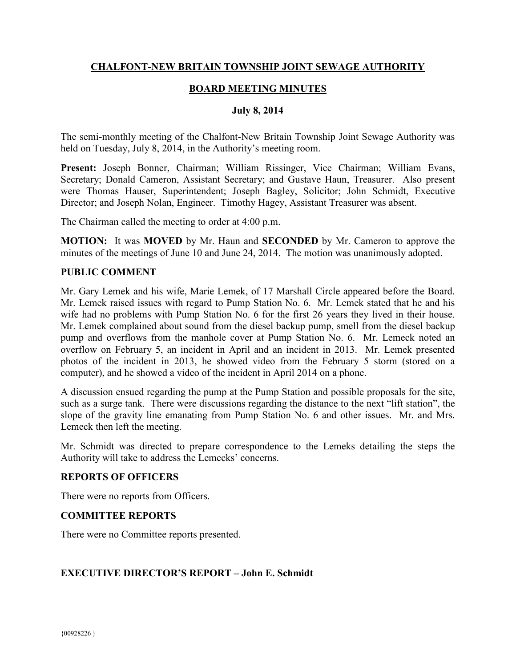## **CHALFONT-NEW BRITAIN TOWNSHIP JOINT SEWAGE AUTHORITY**

## **BOARD MEETING MINUTES**

#### **July 8, 2014**

The semi-monthly meeting of the Chalfont-New Britain Township Joint Sewage Authority was held on Tuesday, July 8, 2014, in the Authority's meeting room.

**Present:** Joseph Bonner, Chairman; William Rissinger, Vice Chairman; William Evans, Secretary; Donald Cameron, Assistant Secretary; and Gustave Haun, Treasurer. Also present were Thomas Hauser, Superintendent; Joseph Bagley, Solicitor; John Schmidt, Executive Director; and Joseph Nolan, Engineer. Timothy Hagey, Assistant Treasurer was absent.

The Chairman called the meeting to order at 4:00 p.m.

**MOTION:** It was **MOVED** by Mr. Haun and **SECONDED** by Mr. Cameron to approve the minutes of the meetings of June 10 and June 24, 2014. The motion was unanimously adopted.

#### **PUBLIC COMMENT**

Mr. Gary Lemek and his wife, Marie Lemek, of 17 Marshall Circle appeared before the Board. Mr. Lemek raised issues with regard to Pump Station No. 6. Mr. Lemek stated that he and his wife had no problems with Pump Station No. 6 for the first 26 years they lived in their house. Mr. Lemek complained about sound from the diesel backup pump, smell from the diesel backup pump and overflows from the manhole cover at Pump Station No. 6. Mr. Lemeck noted an overflow on February 5, an incident in April and an incident in 2013. Mr. Lemek presented photos of the incident in 2013, he showed video from the February 5 storm (stored on a computer), and he showed a video of the incident in April 2014 on a phone.

A discussion ensued regarding the pump at the Pump Station and possible proposals for the site, such as a surge tank. There were discussions regarding the distance to the next "lift station", the slope of the gravity line emanating from Pump Station No. 6 and other issues. Mr. and Mrs. Lemeck then left the meeting.

Mr. Schmidt was directed to prepare correspondence to the Lemeks detailing the steps the Authority will take to address the Lemecks' concerns.

#### **REPORTS OF OFFICERS**

There were no reports from Officers.

#### **COMMITTEE REPORTS**

There were no Committee reports presented.

#### **EXECUTIVE DIRECTOR'S REPORT – John E. Schmidt**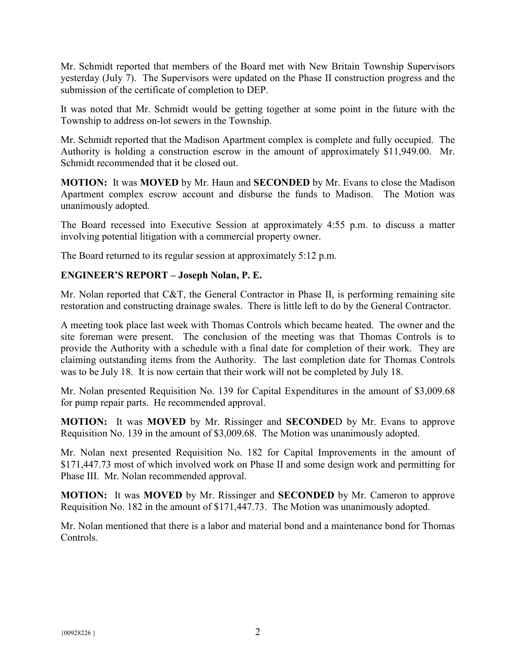Mr. Schmidt reported that members of the Board met with New Britain Township Supervisors yesterday (July 7). The Supervisors were updated on the Phase II construction progress and the submission of the certificate of completion to DEP.

It was noted that Mr. Schmidt would be getting together at some point in the future with the Township to address on-lot sewers in the Township.

Mr. Schmidt reported that the Madison Apartment complex is complete and fully occupied. The Authority is holding a construction escrow in the amount of approximately \$11,949.00. Mr. Schmidt recommended that it be closed out.

**MOTION:** It was **MOVED** by Mr. Haun and **SECONDED** by Mr. Evans to close the Madison Apartment complex escrow account and disburse the funds to Madison. The Motion was unanimously adopted.

The Board recessed into Executive Session at approximately 4:55 p.m. to discuss a matter involving potential litigation with a commercial property owner.

The Board returned to its regular session at approximately 5:12 p.m.

# **ENGINEER'S REPORT – Joseph Nolan, P. E.**

Mr. Nolan reported that  $C&T$ , the General Contractor in Phase II, is performing remaining site restoration and constructing drainage swales. There is little left to do by the General Contractor.

A meeting took place last week with Thomas Controls which became heated. The owner and the site foreman were present. The conclusion of the meeting was that Thomas Controls is to provide the Authority with a schedule with a final date for completion of their work. They are claiming outstanding items from the Authority. The last completion date for Thomas Controls was to be July 18. It is now certain that their work will not be completed by July 18.

Mr. Nolan presented Requisition No. 139 for Capital Expenditures in the amount of \$3,009.68 for pump repair parts. He recommended approval.

**MOTION:** It was **MOVED** by Mr. Rissinger and **SECONDE**D by Mr. Evans to approve Requisition No. 139 in the amount of \$3,009.68. The Motion was unanimously adopted.

Mr. Nolan next presented Requisition No. 182 for Capital Improvements in the amount of \$171,447.73 most of which involved work on Phase II and some design work and permitting for Phase III. Mr. Nolan recommended approval.

**MOTION:** It was **MOVED** by Mr. Rissinger and **SECONDED** by Mr. Cameron to approve Requisition No. 182 in the amount of \$171,447.73. The Motion was unanimously adopted.

Mr. Nolan mentioned that there is a labor and material bond and a maintenance bond for Thomas Controls.